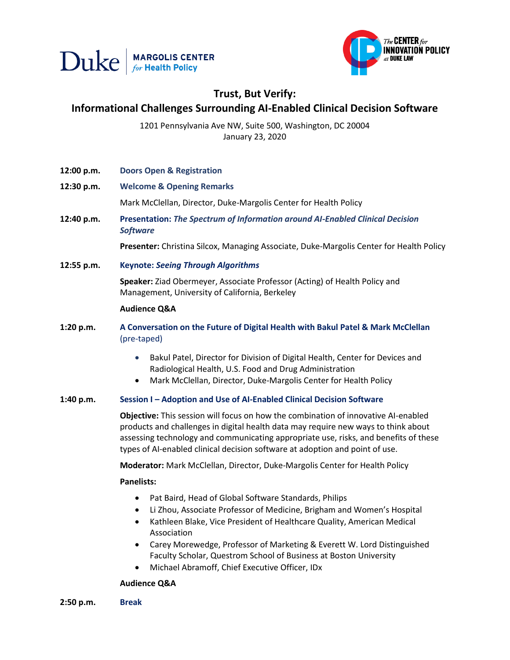



# **Trust, But Verify: Informational Challenges Surrounding AI-Enabled Clinical Decision Software**

1201 Pennsylvania Ave NW, Suite 500, Washington, DC 20004 January 23, 2020

- **12:00 p.m. Doors Open & Registration**
- **12:30 p.m. Welcome & Opening Remarks** Mark McClellan, Director, Duke-Margolis Center for Health Policy
- **12:40 p.m. Presentation:** *The Spectrum of Information around AI-Enabled Clinical Decision Software*

**Presenter:** Christina Silcox, Managing Associate, Duke-Margolis Center for Health Policy

**12:55 p.m. Keynote:** *Seeing Through Algorithms*

**Speaker:** Ziad Obermeyer, Associate Professor (Acting) of Health Policy and Management, University of California, Berkeley

# **Audience Q&A**

- **1:20 p.m. A Conversation on the Future of Digital Health with Bakul Patel & Mark McClellan** (pre-taped)
	- Bakul Patel, Director for Division of Digital Health, Center for Devices and Radiological Health, U.S. Food and Drug Administration
	- Mark McClellan, Director, Duke-Margolis Center for Health Policy

# **1:40 p.m. Session I – Adoption and Use of AI-Enabled Clinical Decision Software**

**Objective:** This session will focus on how the combination of innovative AI-enabled products and challenges in digital health data may require new ways to think about assessing technology and communicating appropriate use, risks, and benefits of these types of AI-enabled clinical decision software at adoption and point of use.

**Moderator:** Mark McClellan, Director, Duke-Margolis Center for Health Policy

# **Panelists:**

- Pat Baird, Head of Global Software Standards, Philips
- Li Zhou, Associate Professor of Medicine, Brigham and Women's Hospital
- Kathleen Blake, Vice President of Healthcare Quality, American Medical Association
- Carey Morewedge, Professor of Marketing & Everett W. Lord Distinguished Faculty Scholar, Questrom School of Business at Boston University
- Michael Abramoff, Chief Executive Officer, IDx

# **Audience Q&A**

**2:50 p.m. Break**